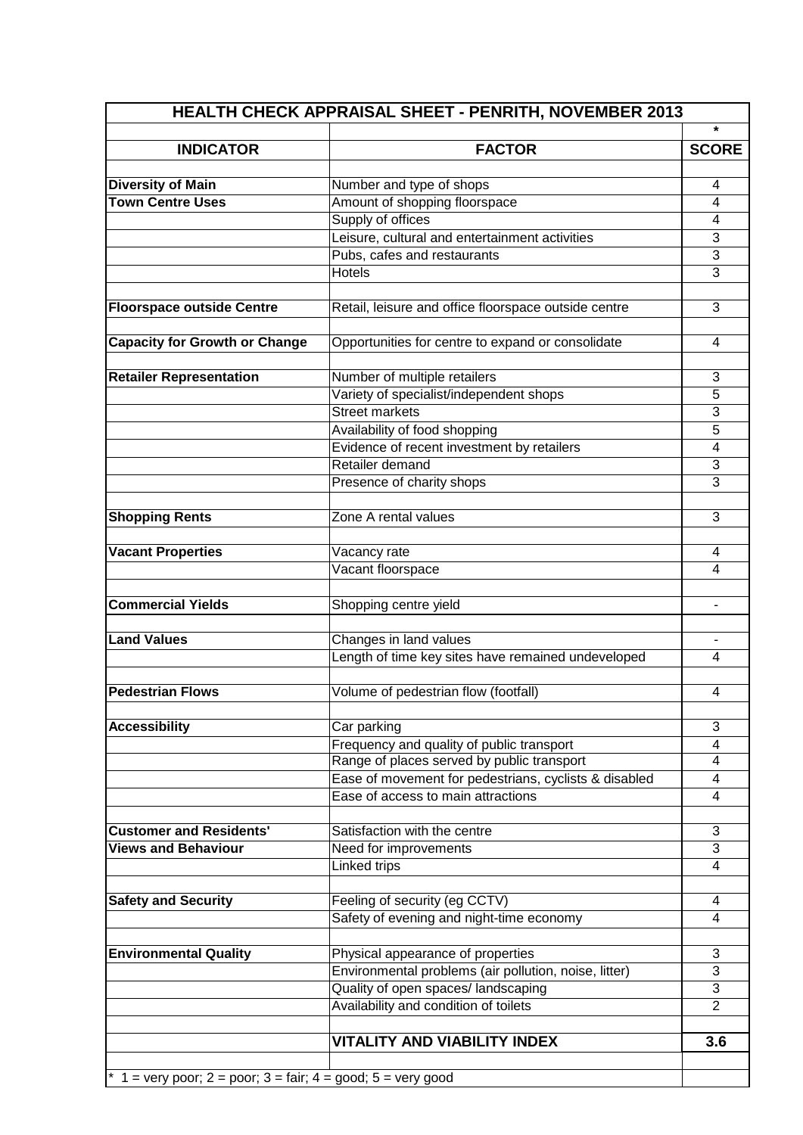|                                                                | HEALTH CHECK APPRAISAL SHEET - PENRITH, NOVEMBER 2013                                      |                |
|----------------------------------------------------------------|--------------------------------------------------------------------------------------------|----------------|
|                                                                |                                                                                            | $\star$        |
| <b>INDICATOR</b>                                               | <b>FACTOR</b>                                                                              | <b>SCORE</b>   |
|                                                                |                                                                                            |                |
| <b>Diversity of Main</b>                                       | Number and type of shops                                                                   | 4              |
| <b>Town Centre Uses</b>                                        | Amount of shopping floorspace                                                              | 4              |
|                                                                | Supply of offices                                                                          | 4              |
|                                                                | Leisure, cultural and entertainment activities<br>Pubs, cafes and restaurants              | 3<br>3         |
|                                                                | <b>Hotels</b>                                                                              | 3              |
|                                                                |                                                                                            |                |
| <b>Floorspace outside Centre</b>                               | Retail, leisure and office floorspace outside centre                                       | 3              |
|                                                                |                                                                                            |                |
| <b>Capacity for Growth or Change</b>                           | Opportunities for centre to expand or consolidate                                          | 4              |
|                                                                |                                                                                            |                |
| <b>Retailer Representation</b>                                 | Number of multiple retailers                                                               | 3              |
|                                                                | Variety of specialist/independent shops                                                    | 5              |
|                                                                | <b>Street markets</b>                                                                      | 3              |
|                                                                | Availability of food shopping                                                              | 5              |
|                                                                | Evidence of recent investment by retailers                                                 | 4              |
|                                                                | Retailer demand                                                                            | 3              |
|                                                                | Presence of charity shops                                                                  | 3              |
|                                                                |                                                                                            |                |
| <b>Shopping Rents</b>                                          | Zone A rental values                                                                       | 3              |
|                                                                |                                                                                            |                |
| <b>Vacant Properties</b>                                       | Vacancy rate                                                                               | 4              |
|                                                                | Vacant floorspace                                                                          | 4              |
|                                                                |                                                                                            |                |
| <b>Commercial Yields</b>                                       | Shopping centre yield                                                                      |                |
|                                                                |                                                                                            |                |
| <b>Land Values</b>                                             | Changes in land values                                                                     |                |
|                                                                | Length of time key sites have remained undeveloped                                         | 4              |
|                                                                |                                                                                            |                |
| <b>Pedestrian Flows</b>                                        | Volume of pedestrian flow (footfall)                                                       | 4              |
|                                                                |                                                                                            |                |
| <b>Accessibility</b>                                           | Car parking                                                                                | 3              |
|                                                                | Frequency and quality of public transport                                                  | 4              |
|                                                                | Range of places served by public transport                                                 | 4              |
|                                                                | Ease of movement for pedestrians, cyclists & disabled                                      | 4              |
|                                                                | Ease of access to main attractions                                                         | 4              |
|                                                                |                                                                                            |                |
| <b>Customer and Residents'</b>                                 | Satisfaction with the centre                                                               | 3              |
| <b>Views and Behaviour</b>                                     | Need for improvements                                                                      | 3              |
|                                                                | Linked trips                                                                               | 4              |
|                                                                |                                                                                            |                |
| <b>Safety and Security</b>                                     | Feeling of security (eg CCTV)                                                              | 4              |
|                                                                | Safety of evening and night-time economy                                                   | 4              |
|                                                                |                                                                                            | 3              |
| <b>Environmental Quality</b>                                   | Physical appearance of properties<br>Environmental problems (air pollution, noise, litter) | 3              |
|                                                                | Quality of open spaces/ landscaping                                                        | 3              |
|                                                                | Availability and condition of toilets                                                      | $\overline{2}$ |
|                                                                |                                                                                            |                |
|                                                                | <b>VITALITY AND VIABILITY INDEX</b>                                                        | 3.6            |
|                                                                |                                                                                            |                |
| $*$ 1 = very poor; 2 = poor; 3 = fair; 4 = good; 5 = very good |                                                                                            |                |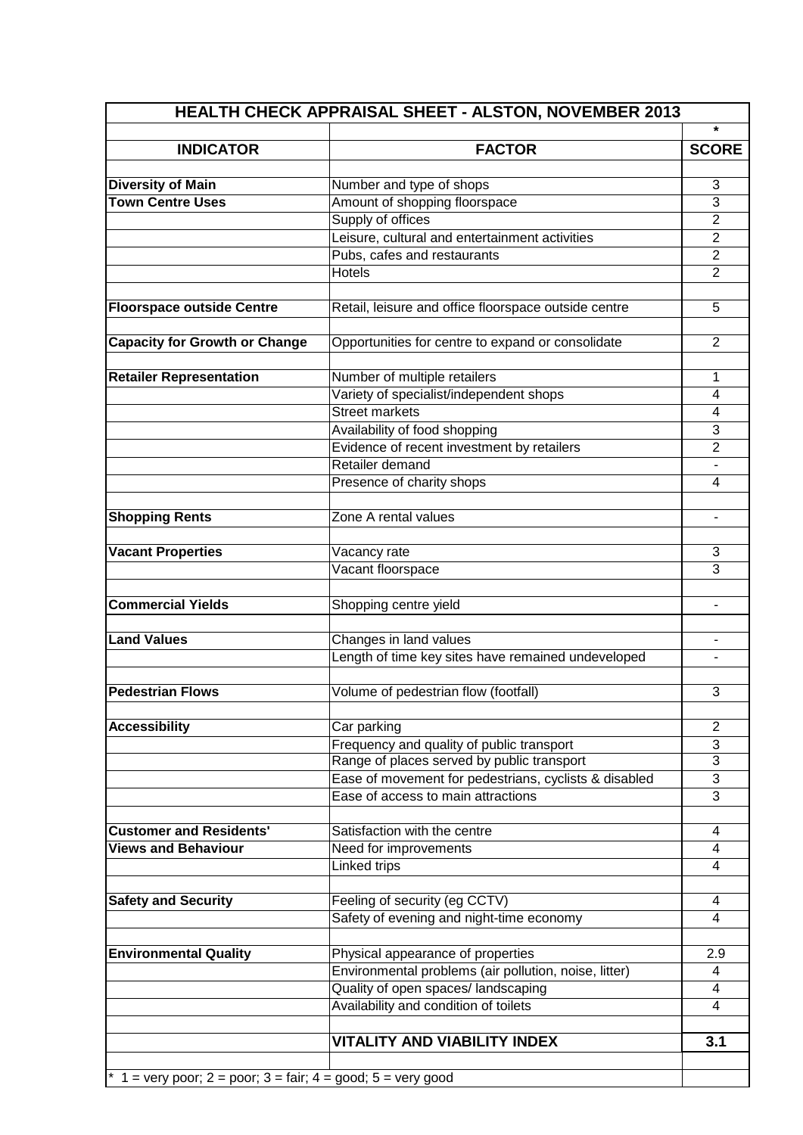|                                                                | <b>HEALTH CHECK APPRAISAL SHEET - ALSTON, NOVEMBER 2013</b>                                |                                  |
|----------------------------------------------------------------|--------------------------------------------------------------------------------------------|----------------------------------|
|                                                                |                                                                                            | $\star$                          |
| <b>INDICATOR</b>                                               | <b>FACTOR</b>                                                                              | <b>SCORE</b>                     |
|                                                                |                                                                                            |                                  |
| <b>Diversity of Main</b>                                       | Number and type of shops                                                                   | 3                                |
| <b>Town Centre Uses</b>                                        | Amount of shopping floorspace                                                              | 3                                |
|                                                                | Supply of offices<br>Leisure, cultural and entertainment activities                        | $\overline{2}$<br>$\overline{2}$ |
|                                                                | Pubs, cafes and restaurants                                                                | $\overline{2}$                   |
|                                                                | <b>Hotels</b>                                                                              | $\overline{2}$                   |
|                                                                |                                                                                            |                                  |
| <b>Floorspace outside Centre</b>                               | Retail, leisure and office floorspace outside centre                                       | 5                                |
|                                                                |                                                                                            |                                  |
| <b>Capacity for Growth or Change</b>                           | Opportunities for centre to expand or consolidate                                          | $\overline{2}$                   |
|                                                                |                                                                                            |                                  |
| <b>Retailer Representation</b>                                 | Number of multiple retailers                                                               | 1                                |
|                                                                | Variety of specialist/independent shops                                                    | $\overline{4}$                   |
|                                                                | <b>Street markets</b>                                                                      | 4                                |
|                                                                | Availability of food shopping                                                              | 3                                |
|                                                                | Evidence of recent investment by retailers                                                 | $\overline{2}$                   |
|                                                                | Retailer demand                                                                            |                                  |
|                                                                | Presence of charity shops                                                                  | 4                                |
|                                                                |                                                                                            |                                  |
| <b>Shopping Rents</b>                                          | Zone A rental values                                                                       |                                  |
|                                                                |                                                                                            |                                  |
| <b>Vacant Properties</b>                                       | Vacancy rate                                                                               | 3                                |
|                                                                | Vacant floorspace                                                                          | 3                                |
| <b>Commercial Yields</b>                                       |                                                                                            |                                  |
|                                                                | Shopping centre yield                                                                      | $\qquad \qquad \blacksquare$     |
| <b>Land Values</b>                                             | Changes in land values                                                                     |                                  |
|                                                                | Length of time key sites have remained undeveloped                                         |                                  |
|                                                                |                                                                                            |                                  |
| <b>Pedestrian Flows</b>                                        | Volume of pedestrian flow (footfall)                                                       | 3                                |
|                                                                |                                                                                            |                                  |
| <b>Accessibility</b>                                           | Car parking                                                                                | $\overline{2}$                   |
|                                                                | Frequency and quality of public transport                                                  | 3                                |
|                                                                | Range of places served by public transport                                                 | 3                                |
|                                                                | Ease of movement for pedestrians, cyclists & disabled                                      | 3                                |
|                                                                | Ease of access to main attractions                                                         | 3                                |
|                                                                |                                                                                            |                                  |
| <b>Customer and Residents'</b>                                 | Satisfaction with the centre                                                               | 4                                |
| <b>Views and Behaviour</b>                                     | Need for improvements                                                                      | 4                                |
|                                                                | Linked trips                                                                               | 4                                |
|                                                                |                                                                                            |                                  |
| <b>Safety and Security</b>                                     | Feeling of security (eg CCTV)                                                              | 4                                |
|                                                                | Safety of evening and night-time economy                                                   | $\overline{4}$                   |
|                                                                |                                                                                            |                                  |
| <b>Environmental Quality</b>                                   | Physical appearance of properties<br>Environmental problems (air pollution, noise, litter) | 2.9<br>4                         |
|                                                                | Quality of open spaces/ landscaping                                                        | 4                                |
|                                                                | Availability and condition of toilets                                                      | 4                                |
|                                                                |                                                                                            |                                  |
|                                                                | <b>VITALITY AND VIABILITY INDEX</b>                                                        | 3.1                              |
|                                                                |                                                                                            |                                  |
| $*$ 1 = very poor; 2 = poor; 3 = fair; 4 = good; 5 = very good |                                                                                            |                                  |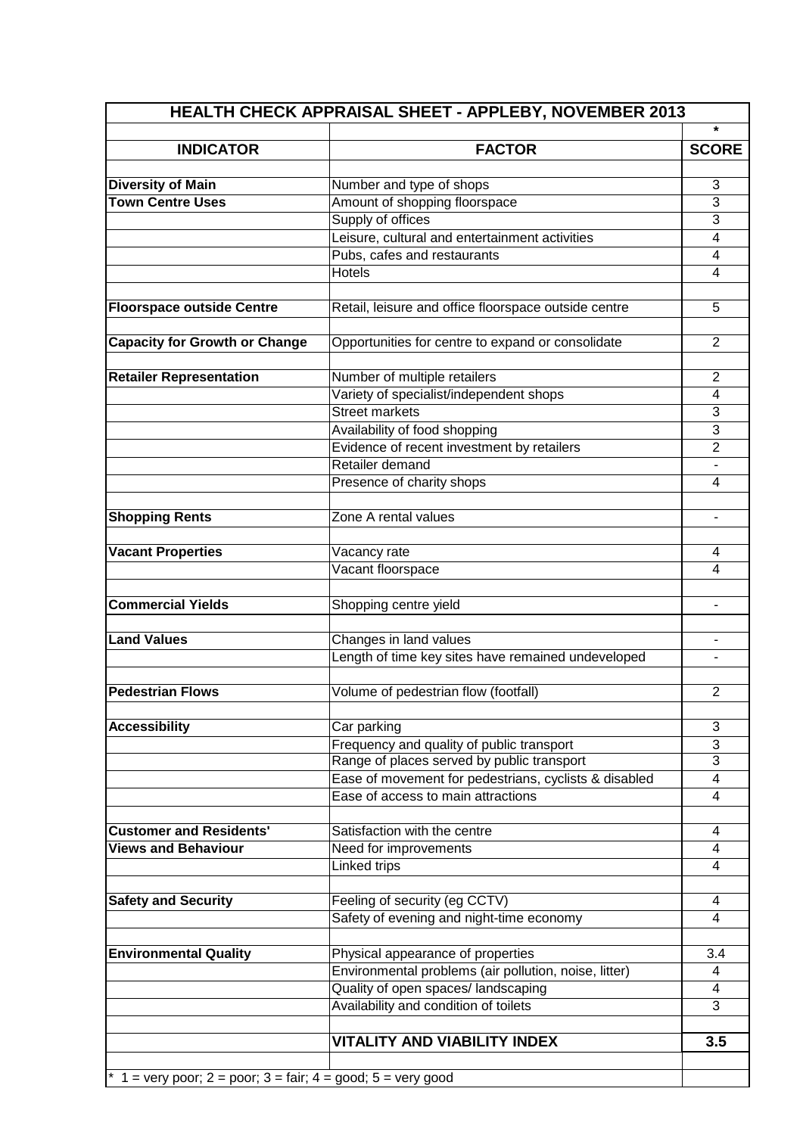| HEALTH CHECK APPRAISAL SHEET - APPLEBY, NOVEMBER 2013          |                                                               |                         |  |  |
|----------------------------------------------------------------|---------------------------------------------------------------|-------------------------|--|--|
|                                                                |                                                               | *                       |  |  |
| <b>INDICATOR</b>                                               | <b>FACTOR</b>                                                 | <b>SCORE</b>            |  |  |
|                                                                |                                                               |                         |  |  |
| <b>Diversity of Main</b>                                       | Number and type of shops                                      | 3                       |  |  |
| <b>Town Centre Uses</b>                                        | Amount of shopping floorspace                                 | 3                       |  |  |
|                                                                | Supply of offices                                             | 3                       |  |  |
|                                                                | Leisure, cultural and entertainment activities                | 4                       |  |  |
|                                                                | Pubs, cafes and restaurants                                   | $\overline{\mathbf{4}}$ |  |  |
|                                                                | <b>Hotels</b>                                                 | 4                       |  |  |
|                                                                |                                                               |                         |  |  |
| <b>Floorspace outside Centre</b>                               | Retail, leisure and office floorspace outside centre          | 5                       |  |  |
|                                                                |                                                               |                         |  |  |
| <b>Capacity for Growth or Change</b>                           | Opportunities for centre to expand or consolidate             | 2                       |  |  |
|                                                                |                                                               |                         |  |  |
| <b>Retailer Representation</b>                                 | Number of multiple retailers                                  | $\overline{2}$          |  |  |
|                                                                | Variety of specialist/independent shops                       | $\overline{4}$          |  |  |
|                                                                | <b>Street markets</b>                                         | 3                       |  |  |
|                                                                | Availability of food shopping                                 | 3                       |  |  |
|                                                                | Evidence of recent investment by retailers<br>Retailer demand | $\overline{2}$          |  |  |
|                                                                |                                                               | $\overline{\mathbf{4}}$ |  |  |
|                                                                | Presence of charity shops                                     |                         |  |  |
|                                                                | Zone A rental values                                          |                         |  |  |
| <b>Shopping Rents</b>                                          |                                                               |                         |  |  |
| <b>Vacant Properties</b>                                       | Vacancy rate                                                  | 4                       |  |  |
|                                                                | Vacant floorspace                                             | 4                       |  |  |
|                                                                |                                                               |                         |  |  |
| <b>Commercial Yields</b>                                       | Shopping centre yield                                         |                         |  |  |
|                                                                |                                                               |                         |  |  |
| <b>Land Values</b>                                             | Changes in land values                                        |                         |  |  |
|                                                                | Length of time key sites have remained undeveloped            |                         |  |  |
|                                                                |                                                               |                         |  |  |
| <b>Pedestrian Flows</b>                                        | Volume of pedestrian flow (footfall)                          | $\overline{2}$          |  |  |
|                                                                |                                                               |                         |  |  |
| <b>Accessibility</b>                                           | Car parking                                                   | 3                       |  |  |
|                                                                | Frequency and quality of public transport                     | 3                       |  |  |
|                                                                | Range of places served by public transport                    | 3                       |  |  |
|                                                                | Ease of movement for pedestrians, cyclists & disabled         | 4                       |  |  |
|                                                                | Ease of access to main attractions                            | 4                       |  |  |
|                                                                |                                                               |                         |  |  |
| <b>Customer and Residents'</b>                                 | Satisfaction with the centre                                  | 4                       |  |  |
| <b>Views and Behaviour</b>                                     | Need for improvements                                         | 4                       |  |  |
|                                                                | Linked trips                                                  | 4                       |  |  |
|                                                                |                                                               |                         |  |  |
| <b>Safety and Security</b>                                     | Feeling of security (eg CCTV)                                 | 4                       |  |  |
|                                                                | Safety of evening and night-time economy                      | 4                       |  |  |
|                                                                |                                                               |                         |  |  |
| <b>Environmental Quality</b>                                   | Physical appearance of properties                             | 3.4                     |  |  |
|                                                                | Environmental problems (air pollution, noise, litter)         | 4                       |  |  |
|                                                                | Quality of open spaces/ landscaping                           | 4                       |  |  |
|                                                                | Availability and condition of toilets                         | 3                       |  |  |
|                                                                |                                                               |                         |  |  |
|                                                                | <b>VITALITY AND VIABILITY INDEX</b>                           | 3.5                     |  |  |
|                                                                |                                                               |                         |  |  |
| $*$ 1 = very poor; 2 = poor; 3 = fair; 4 = good; 5 = very good |                                                               |                         |  |  |